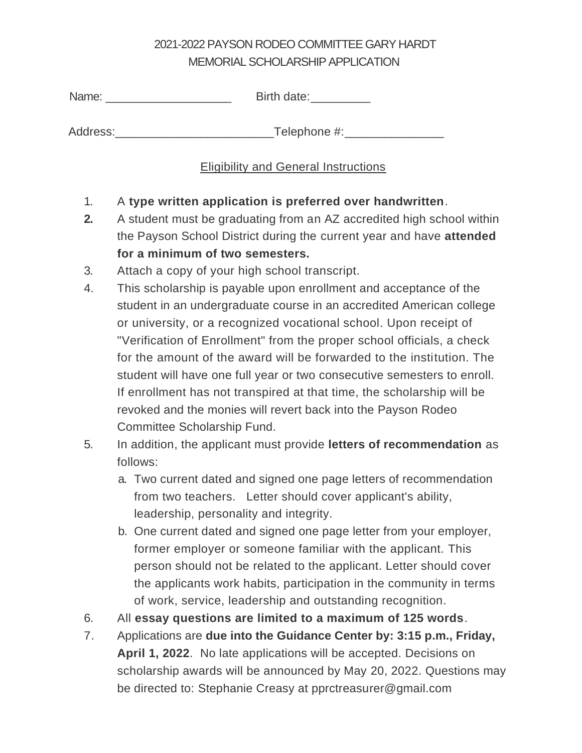## 2021-2022PAYSON RODEO COMMITTEE GARY HARDT MEMORIAL SCHOLARSHIP APPLICATION

| Name: | Birth date: |
|-------|-------------|
|       |             |

Address:\_\_\_\_\_\_\_\_\_\_\_\_\_\_\_\_\_\_\_\_\_\_\_\_Telephone #:\_\_\_\_\_\_\_\_\_\_\_\_\_\_\_

## Eligibility and General Instructions

- 1. A **type written application is preferred over handwritten**.
- **2.** A student must be graduating from an AZ accredited high school within the Payson School District during the current year and have **attended for a minimum of two semesters.**
- 3. Attach a copy of your high school transcript.
- 4. This scholarship is payable upon enrollment and acceptance of the student in an undergraduate course in an accredited American college or university, or a recognized vocational school. Upon receipt of "Verification of Enrollment" from the proper school officials, a check for the amount of the award will be forwarded to the institution. The student will have one full year or two consecutive semesters to enroll. If enrollment has not transpired at that time, the scholarship will be revoked and the monies will revert back into the Payson Rodeo Committee Scholarship Fund.
- 5. In addition, the applicant must provide **letters of recommendation** as follows:
	- a. Two current dated and signed one page letters of recommendation from two teachers. Letter should cover applicant's ability, leadership, personality and integrity.
	- b. One current dated and signed one page letter from your employer, former employer or someone familiar with the applicant. This person should not be related to the applicant. Letter should cover the applicants work habits, participation in the community in terms of work, service, leadership and outstanding recognition.
- 6. All **essay questions are limited to a maximum of 125 words**.
- 7. Applications are **due into the Guidance Center by: 3:15 p.m., Friday, April 1, 2022**. No late applications will be accepted. Decisions on scholarship awards will be announced by May 20, 2022. Questions may be directed to: Stephanie Creasy at pprctreasurer@gmail.com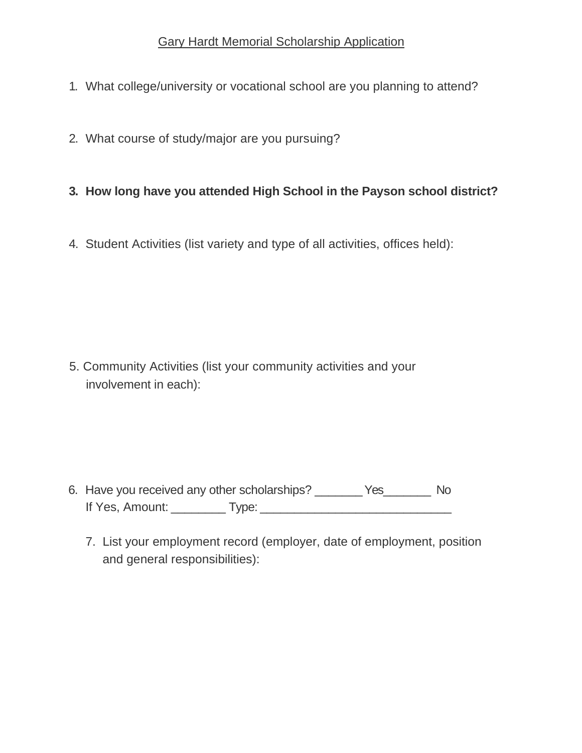- 1. What college/university or vocational school are you planning to attend?
- 2. What course of study/major are you pursuing?
- **3. How long have you attended High School in the Payson school district?**
- 4. Student Activities (list variety and type of all activities, offices held):

5. Community Activities (list your community activities and your involvement in each):

- 6. Have you received any other scholarships? \_\_\_\_\_\_\_Yes\_\_\_\_\_\_\_ No If Yes, Amount: \_\_\_\_\_\_\_\_ Type: \_\_\_\_\_\_\_\_\_\_\_\_\_\_\_\_\_\_\_\_\_\_\_\_\_\_\_\_
	- 7. List your employment record (employer, date of employment, position and general responsibilities):